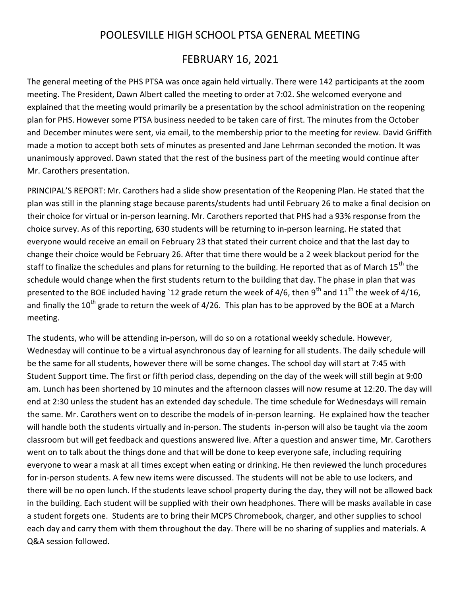## POOLESVILLE HIGH SCHOOL PTSA GENERAL MEETING

## FEBRUARY 16, 2021

The general meeting of the PHS PTSA was once again held virtually. There were 142 participants at the zoom meeting. The President, Dawn Albert called the meeting to order at 7:02. She welcomed everyone and explained that the meeting would primarily be a presentation by the school administration on the reopening plan for PHS. However some PTSA business needed to be taken care of first. The minutes from the October and December minutes were sent, via email, to the membership prior to the meeting for review. David Griffith made a motion to accept both sets of minutes as presented and Jane Lehrman seconded the motion. It was unanimously approved. Dawn stated that the rest of the business part of the meeting would continue after Mr. Carothers presentation.

PRINCIPAL'S REPORT: Mr. Carothers had a slide show presentation of the Reopening Plan. He stated that the plan was still in the planning stage because parents/students had until February 26 to make a final decision on their choice for virtual or in-person learning. Mr. Carothers reported that PHS had a 93% response from the choice survey. As of this reporting, 630 students will be returning to in-person learning. He stated that everyone would receive an email on February 23 that stated their current choice and that the last day to change their choice would be February 26. After that time there would be a 2 week blackout period for the staff to finalize the schedules and plans for returning to the building. He reported that as of March 15<sup>th</sup> the schedule would change when the first students return to the building that day. The phase in plan that was presented to the BOE included having `12 grade return the week of 4/6, then 9<sup>th</sup> and 11<sup>th</sup> the week of 4/16, and finally the 10<sup>th</sup> grade to return the week of 4/26. This plan has to be approved by the BOE at a March meeting.

The students, who will be attending in-person, will do so on a rotational weekly schedule. However, Wednesday will continue to be a virtual asynchronous day of learning for all students. The daily schedule will be the same for all students, however there will be some changes. The school day will start at 7:45 with Student Support time. The first or fifth period class, depending on the day of the week will still begin at 9:00 am. Lunch has been shortened by 10 minutes and the afternoon classes will now resume at 12:20. The day will end at 2:30 unless the student has an extended day schedule. The time schedule for Wednesdays will remain the same. Mr. Carothers went on to describe the models of in-person learning. He explained how the teacher will handle both the students virtually and in-person. The students in-person will also be taught via the zoom classroom but will get feedback and questions answered live. After a question and answer time, Mr. Carothers went on to talk about the things done and that will be done to keep everyone safe, including requiring everyone to wear a mask at all times except when eating or drinking. He then reviewed the lunch procedures for in-person students. A few new items were discussed. The students will not be able to use lockers, and there will be no open lunch. If the students leave school property during the day, they will not be allowed back in the building. Each student will be supplied with their own headphones. There will be masks available in case a student forgets one. Students are to bring their MCPS Chromebook, charger, and other supplies to school each day and carry them with them throughout the day. There will be no sharing of supplies and materials. A Q&A session followed.